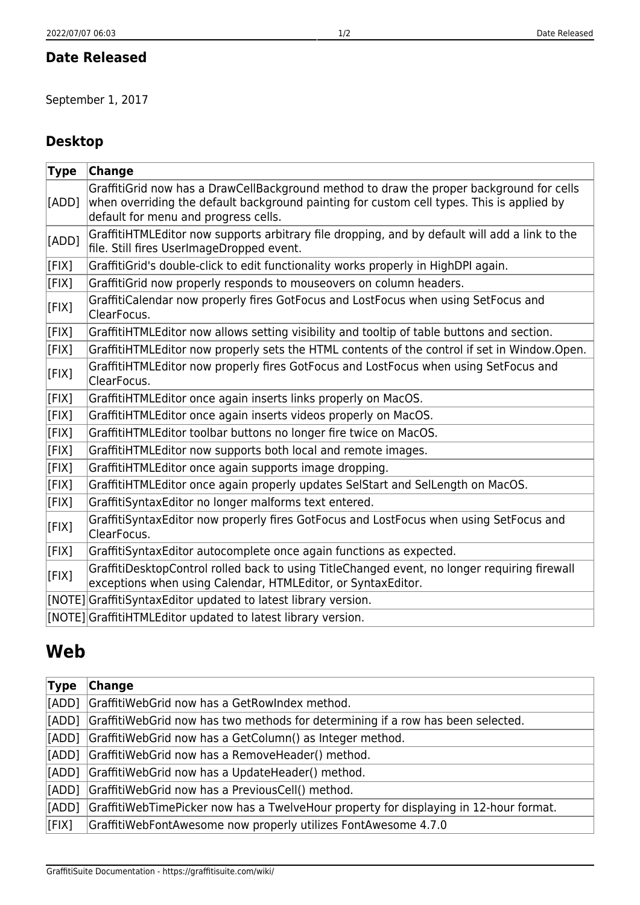## **Date Released**

September 1, 2017

## **Desktop**

| <b>Type</b> | <b>Change</b>                                                                                                                                                                                                                 |
|-------------|-------------------------------------------------------------------------------------------------------------------------------------------------------------------------------------------------------------------------------|
| [ADD]       | GraffitiGrid now has a DrawCellBackground method to draw the proper background for cells<br>when overriding the default background painting for custom cell types. This is applied by<br>default for menu and progress cells. |
| [ADD]       | GraffitiHTMLEditor now supports arbitrary file dropping, and by default will add a link to the<br>file. Still fires UserImageDropped event.                                                                                   |
| [FIX]       | GraffitiGrid's double-click to edit functionality works properly in HighDPI again.                                                                                                                                            |
| [FIX]       | GraffitiGrid now properly responds to mouseovers on column headers.                                                                                                                                                           |
| [FIX]       | GraffitiCalendar now properly fires GotFocus and LostFocus when using SetFocus and<br>ClearFocus.                                                                                                                             |
| [FIX]       | GraffitiHTMLEditor now allows setting visibility and tooltip of table buttons and section.                                                                                                                                    |
| [FIX]       | GraffitiHTMLEditor now properly sets the HTML contents of the control if set in Window.Open.                                                                                                                                  |
| [FIX]       | GraffitiHTMLEditor now properly fires GotFocus and LostFocus when using SetFocus and<br>ClearFocus.                                                                                                                           |
| [FIX]       | GraffitiHTMLEditor once again inserts links properly on MacOS.                                                                                                                                                                |
| [FIX]       | GraffitiHTMLEditor once again inserts videos properly on MacOS.                                                                                                                                                               |
| [FIX]       | GraffitiHTMLEditor toolbar buttons no longer fire twice on MacOS.                                                                                                                                                             |
| [FIX]       | GraffitiHTMLEditor now supports both local and remote images.                                                                                                                                                                 |
| [FIX]       | GraffitiHTMLEditor once again supports image dropping.                                                                                                                                                                        |
| [FIX]       | GraffitiHTMLEditor once again properly updates SelStart and SelLength on MacOS.                                                                                                                                               |
| [FIX]       | GraffitiSyntaxEditor no longer malforms text entered.                                                                                                                                                                         |
| [FIX]       | GraffitiSyntaxEditor now properly fires GotFocus and LostFocus when using SetFocus and<br>ClearFocus.                                                                                                                         |
| [FIX]       | GraffitiSyntaxEditor autocomplete once again functions as expected.                                                                                                                                                           |
| [FIX]       | GraffitiDesktopControl rolled back to using TitleChanged event, no longer requiring firewall<br>exceptions when using Calendar, HTMLEditor, or SyntaxEditor.                                                                  |
|             | [NOTE] GraffitiSyntaxEditor updated to latest library version.                                                                                                                                                                |
|             | [NOTE] GraffitiHTMLEditor updated to latest library version.                                                                                                                                                                  |

## **Web**

| Type  | Change                                                                                 |
|-------|----------------------------------------------------------------------------------------|
|       | [[ADD] GraffitiWebGrid now has a GetRowIndex method.                                   |
|       | [[ADD] GraffitiWebGrid now has two methods for determining if a row has been selected. |
|       | [[ADD] GraffitiWebGrid now has a GetColumn() as Integer method.                        |
|       | [[ADD] GraffitiWebGrid now has a RemoveHeader() method.                                |
|       | [ADD] GraffitiWebGrid now has a UpdateHeader() method.                                 |
|       | [[ADD] GraffitiWebGrid now has a PreviousCell() method.                                |
| [ADD] | GraffitiWebTimePicker now has a TwelveHour property for displaying in 12-hour format.  |
| [FIX] | GraffitiWebFontAwesome now properly utilizes FontAwesome 4.7.0                         |